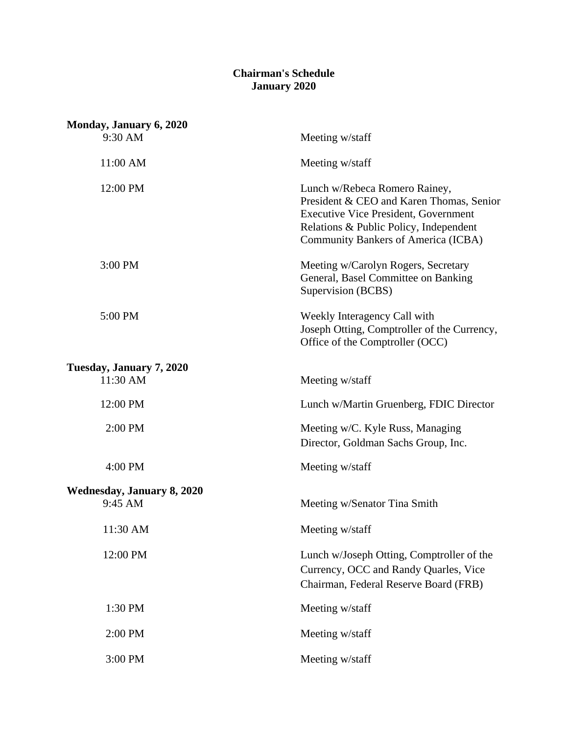## **Chairman's Schedule January 2020**

| Monday, January 6, 2020           |                                                                                                                                                                                                                  |
|-----------------------------------|------------------------------------------------------------------------------------------------------------------------------------------------------------------------------------------------------------------|
| 9:30 AM                           | Meeting w/staff                                                                                                                                                                                                  |
| 11:00 AM                          | Meeting w/staff                                                                                                                                                                                                  |
| 12:00 PM                          | Lunch w/Rebeca Romero Rainey,<br>President & CEO and Karen Thomas, Senior<br><b>Executive Vice President, Government</b><br>Relations & Public Policy, Independent<br><b>Community Bankers of America (ICBA)</b> |
| 3:00 PM                           | Meeting w/Carolyn Rogers, Secretary<br>General, Basel Committee on Banking<br>Supervision (BCBS)                                                                                                                 |
| 5:00 PM                           | Weekly Interagency Call with<br>Joseph Otting, Comptroller of the Currency,<br>Office of the Comptroller (OCC)                                                                                                   |
| Tuesday, January 7, 2020          |                                                                                                                                                                                                                  |
| 11:30 AM                          | Meeting w/staff                                                                                                                                                                                                  |
| 12:00 PM                          | Lunch w/Martin Gruenberg, FDIC Director                                                                                                                                                                          |
| 2:00 PM                           | Meeting w/C. Kyle Russ, Managing<br>Director, Goldman Sachs Group, Inc.                                                                                                                                          |
| 4:00 PM                           | Meeting w/staff                                                                                                                                                                                                  |
| <b>Wednesday, January 8, 2020</b> |                                                                                                                                                                                                                  |
| 9:45 AM                           | Meeting w/Senator Tina Smith                                                                                                                                                                                     |
| 11:30 AM                          | Meeting w/staff                                                                                                                                                                                                  |
| 12:00 PM                          | Lunch w/Joseph Otting, Comptroller of the<br>Currency, OCC and Randy Quarles, Vice<br>Chairman, Federal Reserve Board (FRB)                                                                                      |
| 1:30 PM                           | Meeting w/staff                                                                                                                                                                                                  |
| 2:00 PM                           | Meeting w/staff                                                                                                                                                                                                  |
| 3:00 PM                           | Meeting w/staff                                                                                                                                                                                                  |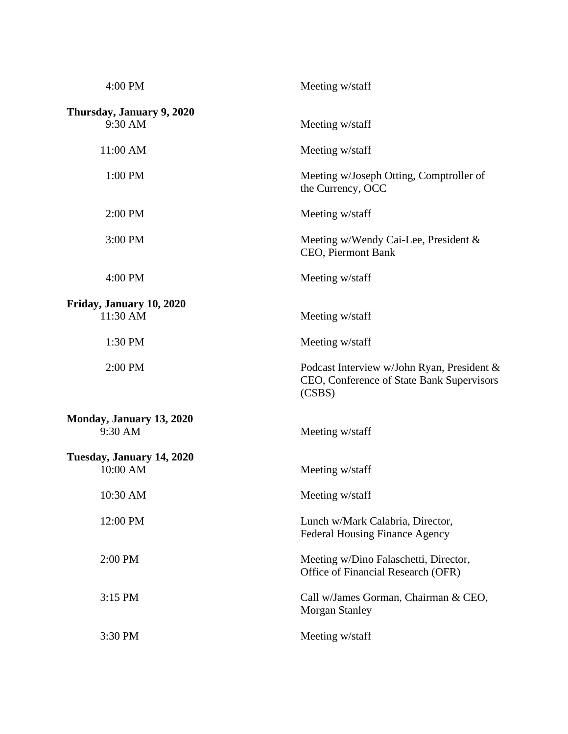| 4:00 PM                              | Meeting w/staff                                                                                   |
|--------------------------------------|---------------------------------------------------------------------------------------------------|
| Thursday, January 9, 2020<br>9:30 AM | Meeting w/staff                                                                                   |
| 11:00 AM                             | Meeting w/staff                                                                                   |
| 1:00 PM                              | Meeting w/Joseph Otting, Comptroller of<br>the Currency, OCC                                      |
| 2:00 PM                              | Meeting w/staff                                                                                   |
| 3:00 PM                              | Meeting w/Wendy Cai-Lee, President &<br>CEO, Piermont Bank                                        |
| 4:00 PM                              | Meeting w/staff                                                                                   |
| Friday, January 10, 2020             |                                                                                                   |
| 11:30 AM                             | Meeting w/staff                                                                                   |
| 1:30 PM                              | Meeting w/staff                                                                                   |
| 2:00 PM                              | Podcast Interview w/John Ryan, President &<br>CEO, Conference of State Bank Supervisors<br>(CSBS) |
| Monday, January 13, 2020<br>9:30 AM  | Meeting w/staff                                                                                   |
| Tuesday, January 14, 2020            |                                                                                                   |
| 10:00 AM                             | Meeting w/staff                                                                                   |
| 10:30 AM                             | Meeting w/staff                                                                                   |
| 12:00 PM                             | Lunch w/Mark Calabria, Director,<br><b>Federal Housing Finance Agency</b>                         |
| 2:00 PM                              | Meeting w/Dino Falaschetti, Director,<br>Office of Financial Research (OFR)                       |
| 3:15 PM                              | Call w/James Gorman, Chairman & CEO,<br><b>Morgan Stanley</b>                                     |
| 3:30 PM                              | Meeting w/staff                                                                                   |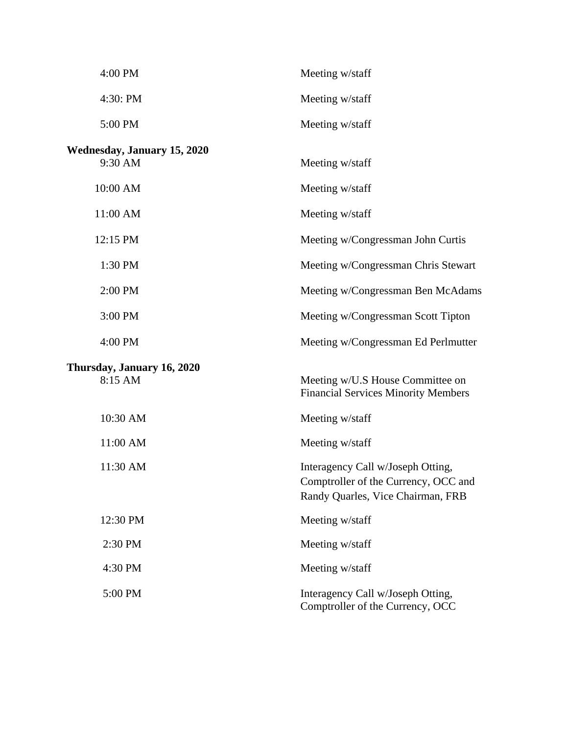| 4:00 PM                                       | Meeting w/staff                                                                                                |
|-----------------------------------------------|----------------------------------------------------------------------------------------------------------------|
| 4:30: PM                                      | Meeting w/staff                                                                                                |
| 5:00 PM                                       | Meeting w/staff                                                                                                |
| <b>Wednesday, January 15, 2020</b><br>9:30 AM | Meeting w/staff                                                                                                |
| 10:00 AM                                      | Meeting w/staff                                                                                                |
| 11:00 AM                                      | Meeting w/staff                                                                                                |
| 12:15 PM                                      | Meeting w/Congressman John Curtis                                                                              |
| 1:30 PM                                       | Meeting w/Congressman Chris Stewart                                                                            |
| 2:00 PM                                       | Meeting w/Congressman Ben McAdams                                                                              |
| 3:00 PM                                       | Meeting w/Congressman Scott Tipton                                                                             |
| 4:00 PM                                       | Meeting w/Congressman Ed Perlmutter                                                                            |
| Thursday, January 16, 2020<br>8:15 AM         | Meeting w/U.S House Committee on<br><b>Financial Services Minority Members</b>                                 |
| 10:30 AM                                      | Meeting w/staff                                                                                                |
| 11:00 AM                                      | Meeting w/staff                                                                                                |
| 11:30 AM                                      | Interagency Call w/Joseph Otting,<br>Comptroller of the Currency, OCC and<br>Randy Quarles, Vice Chairman, FRB |
| 12:30 PM                                      | Meeting w/staff                                                                                                |
| 2:30 PM                                       | Meeting w/staff                                                                                                |
| 4:30 PM                                       | Meeting w/staff                                                                                                |
| 5:00 PM                                       | Interagency Call w/Joseph Otting,<br>Comptroller of the Currency, OCC                                          |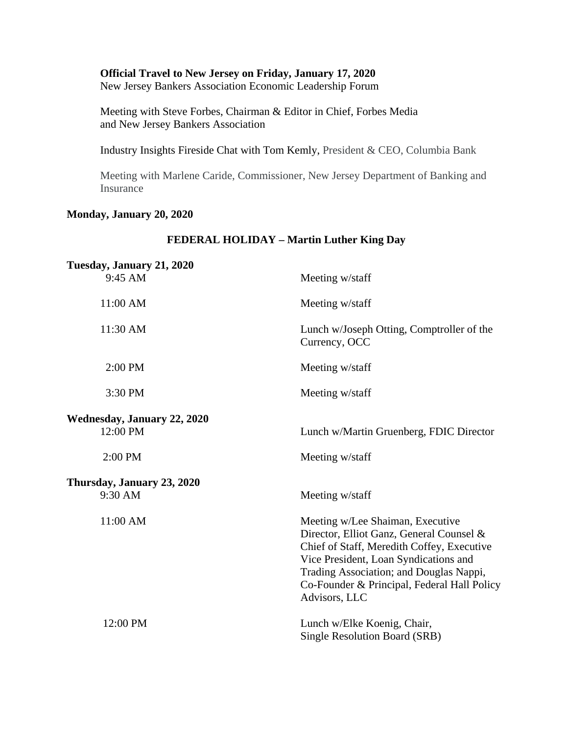## **Official Travel to New Jersey on Friday, January 17, 2020**

New Jersey Bankers Association Economic Leadership Forum

Meeting with Steve Forbes, Chairman & Editor in Chief, Forbes Media and New Jersey Bankers Association

Industry Insights Fireside Chat with Tom Kemly, President & CEO, Columbia Bank

Meeting with Marlene Caride, Commissioner, New Jersey Department of Banking and **Insurance** 

**FEDERAL HOLIDAY – Martin Luther King Day**

## **Monday, January 20, 2020**

## **Tuesday, January 21, 2020** 9:45 AM Meeting w/staff 11:00 AM Meeting w/staff 11:30 AM Lunch w/Joseph Otting, Comptroller of the Currency, OCC 2:00 PM Meeting w/staff 3:30 PM Meeting w/staff **Wednesday, January 22, 2020** 12:00 PM Lunch w/Martin Gruenberg, FDIC Director 2:00 PM Meeting w/staff **Thursday, January 23, 2020** 9:30 AM Meeting w/staff 11:00 AM Meeting w/Lee Shaiman, Executive Director, Elliot Ganz, General Counsel & Chief of Staff, Meredith Coffey, Executive Vice President, Loan Syndications and Trading Association; and Douglas Nappi, Co-Founder & Principal, Federal Hall Policy Advisors, LLC 12:00 PM Lunch w/Elke Koenig, Chair, Single Resolution Board (SRB)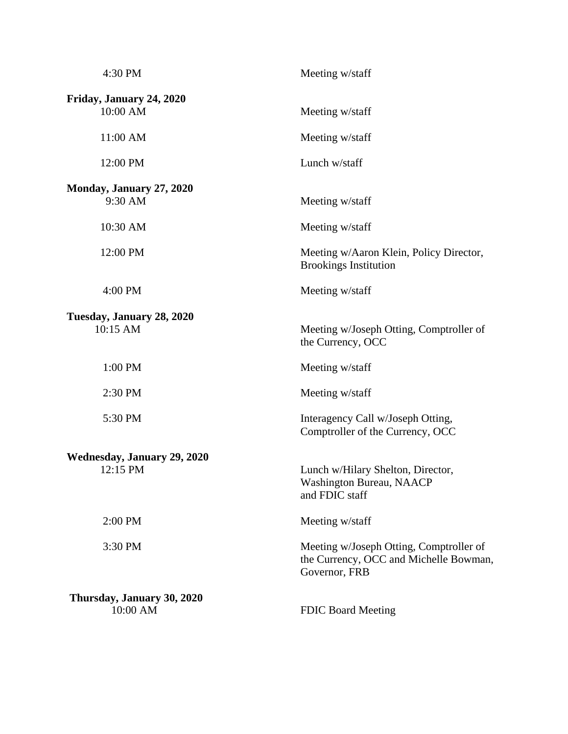| 4:30 PM                                        | Meeting w/staff                                                                                    |
|------------------------------------------------|----------------------------------------------------------------------------------------------------|
| Friday, January 24, 2020<br>10:00 AM           | Meeting w/staff                                                                                    |
| 11:00 AM                                       | Meeting w/staff                                                                                    |
| 12:00 PM                                       | Lunch w/staff                                                                                      |
| Monday, January 27, 2020<br>9:30 AM            | Meeting w/staff                                                                                    |
| 10:30 AM                                       | Meeting w/staff                                                                                    |
| 12:00 PM                                       | Meeting w/Aaron Klein, Policy Director,<br><b>Brookings Institution</b>                            |
| 4:00 PM                                        | Meeting w/staff                                                                                    |
| Tuesday, January 28, 2020<br>10:15 AM          | Meeting w/Joseph Otting, Comptroller of<br>the Currency, OCC                                       |
| 1:00 PM                                        | Meeting w/staff                                                                                    |
| 2:30 PM                                        | Meeting w/staff                                                                                    |
| 5:30 PM                                        | Interagency Call w/Joseph Otting,<br>Comptroller of the Currency, OCC                              |
| <b>Wednesday, January 29, 2020</b><br>12:15 PM | Lunch w/Hilary Shelton, Director,<br>Washington Bureau, NAACP<br>and FDIC staff                    |
| 2:00 PM                                        | Meeting w/staff                                                                                    |
| 3:30 PM                                        | Meeting w/Joseph Otting, Comptroller of<br>the Currency, OCC and Michelle Bowman,<br>Governor, FRB |
| Thursday, January 30, 2020<br>10:00 AM         | <b>FDIC Board Meeting</b>                                                                          |